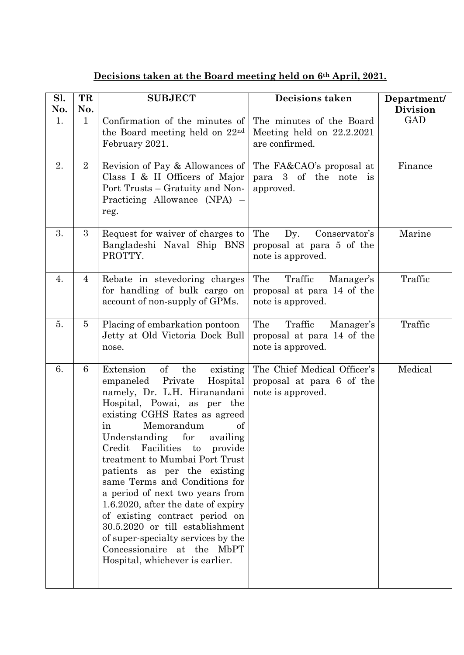## **Decisions taken at the Board meeting held on 6th April, 2021.**

| Sl. | TR             | <b>SUBJECT</b>                                                                                                                                                                                                                                                                                                                                                                                                                                                                                                                                                                                                                                | Decisions taken                                                                | Department/     |
|-----|----------------|-----------------------------------------------------------------------------------------------------------------------------------------------------------------------------------------------------------------------------------------------------------------------------------------------------------------------------------------------------------------------------------------------------------------------------------------------------------------------------------------------------------------------------------------------------------------------------------------------------------------------------------------------|--------------------------------------------------------------------------------|-----------------|
| No. | No.            |                                                                                                                                                                                                                                                                                                                                                                                                                                                                                                                                                                                                                                               |                                                                                | <b>Division</b> |
| 1.  | $\mathbf{1}$   | Confirmation of the minutes of<br>the Board meeting held on 22nd<br>February 2021.                                                                                                                                                                                                                                                                                                                                                                                                                                                                                                                                                            | The minutes of the Board<br>Meeting held on $22.2.2021$<br>are confirmed.      | <b>GAD</b>      |
| 2.  | $\overline{2}$ | Revision of Pay & Allowances of<br>Class I & II Officers of Major<br>Port Trusts – Gratuity and Non-<br>Practicing Allowance (NPA) –<br>reg.                                                                                                                                                                                                                                                                                                                                                                                                                                                                                                  | The FA&CAO's proposal at<br>para 3 of the note is<br>approved.                 | Finance         |
| 3.  | 3              | Request for waiver of charges to<br>Bangladeshi Naval Ship BNS<br>PROTTY.                                                                                                                                                                                                                                                                                                                                                                                                                                                                                                                                                                     | The<br>Dy.<br>Conservator's<br>proposal at para 5 of the<br>note is approved.  | Marine          |
| 4.  | 4              | Rebate in stevedoring charges<br>for handling of bulk cargo on<br>account of non-supply of GPMs.                                                                                                                                                                                                                                                                                                                                                                                                                                                                                                                                              | The<br>Traffic<br>Manager's<br>proposal at para 14 of the<br>note is approved. | Traffic         |
| 5.  | $\overline{5}$ | Placing of embarkation pontoon<br>Jetty at Old Victoria Dock Bull<br>nose.                                                                                                                                                                                                                                                                                                                                                                                                                                                                                                                                                                    | The<br>Traffic<br>Manager's<br>proposal at para 14 of the<br>note is approved. | Traffic         |
| 6.  | 6              | of<br>Extension<br>the<br>existing<br>Private<br>empaneled<br>Hospital<br>namely, Dr. L.H. Hiranandani<br>Hospital, Powai, as per the<br>existing CGHS Rates as agreed<br>Memorandum<br>in<br><sub>of</sub><br>availing<br>Understanding for<br>Credit<br>Facilities<br>to<br>provide<br>treatment to Mumbai Port Trust<br>patients as per the existing<br>same Terms and Conditions for<br>a period of next two years from<br>1.6.2020, after the date of expiry<br>of existing contract period on<br>30.5.2020 or till establishment<br>of super-specialty services by the<br>Concessionaire at the MbPT<br>Hospital, whichever is earlier. | The Chief Medical Officer's<br>proposal at para 6 of the<br>note is approved.  | Medical         |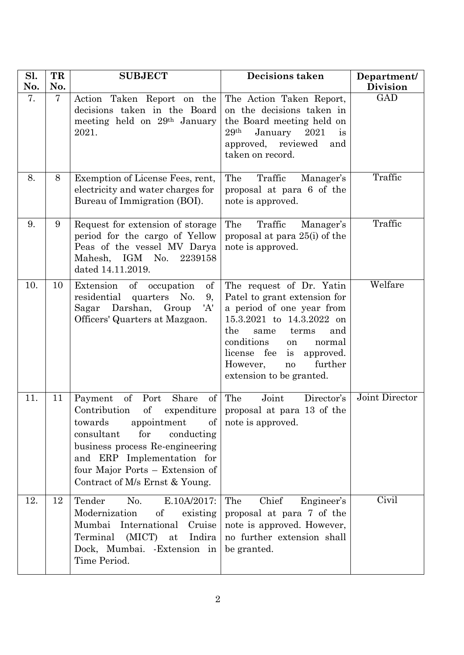| Sl.<br>No. | TR<br>No.      | <b>SUBJECT</b>                                                                                                                                                                                                                                                        | <b>Decisions taken</b>                                                                                                                                                                                                                                                     | Department/<br><b>Division</b> |
|------------|----------------|-----------------------------------------------------------------------------------------------------------------------------------------------------------------------------------------------------------------------------------------------------------------------|----------------------------------------------------------------------------------------------------------------------------------------------------------------------------------------------------------------------------------------------------------------------------|--------------------------------|
| 7.         | $\overline{7}$ | Taken Report on the<br>Action<br>decisions taken in the Board<br>meeting held on 29 <sup>th</sup> January<br>2021.                                                                                                                                                    | The Action Taken Report,<br>on the decisions taken in<br>the Board meeting held on<br>29 <sup>th</sup><br>January<br>2021<br>is<br>approved, reviewed<br>and<br>taken on record.                                                                                           | <b>GAD</b>                     |
| 8.         | 8              | Exemption of License Fees, rent,<br>electricity and water charges for<br>Bureau of Immigration (BOI).                                                                                                                                                                 | The<br>Traffic<br>Manager's<br>proposal at para 6 of the<br>note is approved.                                                                                                                                                                                              | Traffic                        |
| 9.         | 9              | Request for extension of storage<br>period for the cargo of Yellow<br>Peas of the vessel MV Darya<br>Mahesh, IGM No.<br>2239158<br>dated 14.11.2019.                                                                                                                  | The<br>Traffic<br>Manager's<br>proposal at para 25(i) of the<br>note is approved.                                                                                                                                                                                          | Traffic                        |
| 10.        | 10             | of<br>Extension<br>of<br>occupation<br>residential<br>quarters<br>No.<br>9,<br>Sagar Darshan, Group<br>'A'<br>Officers' Quarters at Mazgaon.                                                                                                                          | The request of Dr. Yatin<br>Patel to grant extension for<br>a period of one year from<br>15.3.2021 to 14.3.2022 on<br>the<br>same<br>terms<br>and<br>conditions<br>normal<br>on<br>license fee<br>is<br>approved.<br>further<br>However,<br>no<br>extension to be granted. | Welfare                        |
| 11.        | 11             | of<br>Share<br>of<br>Payment<br>Port<br>Contribution<br>of<br>towards<br>appointment<br>of  <br>consultant<br>for<br>conducting<br>business process Re-engineering<br>and ERP Implementation for<br>four Major Ports – Extension of<br>Contract of M/s Ernst & Young. | Joint<br>The<br>Director's<br>expenditure   proposal at para 13 of the<br>note is approved.                                                                                                                                                                                | Joint Director                 |
| 12.        | 12             | Tender<br>No.<br>E.10A/2017:<br>Modernization<br>of<br>existing<br>Mumbai International<br>Cruise<br>Terminal (MICT)<br>at<br>Indira<br>Dock, Mumbai. - Extension in<br>Time Period.                                                                                  | Chief<br>The<br>Engineer's<br>proposal at para 7 of the<br>note is approved. However,<br>no further extension shall<br>be granted.                                                                                                                                         | Civil                          |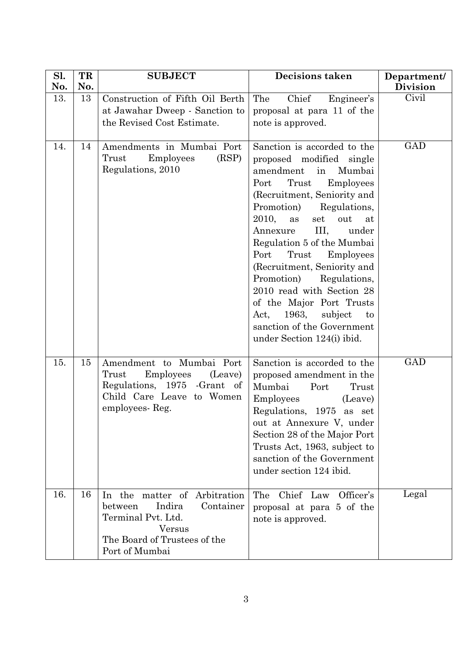| Sl.<br>No. | TR<br>No. | <b>SUBJECT</b>                                                                                                                                   | <b>Decisions taken</b>                                                                                                                                                                                                                                                                                                                                                                                                                                                                                                                 | Department/<br><b>Division</b> |
|------------|-----------|--------------------------------------------------------------------------------------------------------------------------------------------------|----------------------------------------------------------------------------------------------------------------------------------------------------------------------------------------------------------------------------------------------------------------------------------------------------------------------------------------------------------------------------------------------------------------------------------------------------------------------------------------------------------------------------------------|--------------------------------|
| 13.        | 13        | Construction of Fifth Oil Berth<br>at Jawahar Dweep - Sanction to<br>the Revised Cost Estimate.                                                  | Chief<br>The<br>Engineer's<br>proposal at para 11 of the<br>note is approved.                                                                                                                                                                                                                                                                                                                                                                                                                                                          | Civil                          |
| 14.        | 14        | Amendments in Mumbai Port<br>(RSP)<br>Trust<br><b>Employees</b><br>Regulations, 2010                                                             | Sanction is accorded to the<br>proposed modified single<br>amendment<br>Mumbai<br>in<br>Trust<br>Employees<br>Port<br>(Recruitment, Seniority and<br>Promotion)<br>Regulations,<br>2010,<br>out<br>as<br>set<br>at<br>III,<br>Annexure<br>under<br>Regulation 5 of the Mumbai<br>Port<br>Trust<br><b>Employees</b><br>(Recruitment, Seniority and<br>Promotion)<br>Regulations,<br>2010 read with Section 28<br>of the Major Port Trusts<br>1963,<br>subject<br>Act,<br>to<br>sanction of the Government<br>under Section 124(i) ibid. | <b>GAD</b>                     |
| 15.        | 15        | Amendment to Mumbai Port<br>Trust<br>Employees<br>(Leave)<br>Regulations, 1975 - Grant of<br>Child Care Leave to Women<br>employees-Reg.         | Sanction is accorded to the<br>proposed amendment in the<br>Mumbai<br>Port<br>Trust<br>Employees<br>(Leave)<br>Regulations, 1975 as set<br>out at Annexure V, under<br>Section 28 of the Major Port<br>Trusts Act, 1963, subject to<br>sanction of the Government<br>under section 124 ibid.                                                                                                                                                                                                                                           | <b>GAD</b>                     |
| 16.        | 16        | In the matter of Arbitration<br>Indira<br>Container<br>between<br>Terminal Pvt. Ltd.<br>Versus<br>The Board of Trustees of the<br>Port of Mumbai | Chief Law<br>Officer's<br>The<br>proposal at para 5 of the<br>note is approved.                                                                                                                                                                                                                                                                                                                                                                                                                                                        | Legal                          |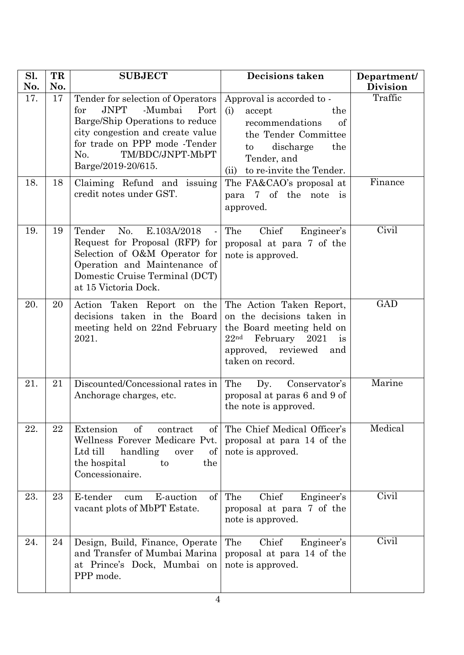| Sl.<br>No. | TR<br>No. | <b>SUBJECT</b>                                                                                                                                                                                                                                                     | <b>Decisions taken</b>                                                                                                                                                                                      | Department/<br><b>Division</b> |
|------------|-----------|--------------------------------------------------------------------------------------------------------------------------------------------------------------------------------------------------------------------------------------------------------------------|-------------------------------------------------------------------------------------------------------------------------------------------------------------------------------------------------------------|--------------------------------|
| 17.<br>18. | 17<br>18  | Tender for selection of Operators<br><b>JNPT</b><br>-Mumbai<br>for<br>Port<br>Barge/Ship Operations to reduce<br>city congestion and create value<br>for trade on PPP mode -Tender<br>TM/BDC/JNPT-MbPT<br>No.<br>Barge/2019-20/615.<br>Claiming Refund and issuing | Approval is accorded to -<br>(i)<br>accept<br>the<br>recommendations<br>of<br>the Tender Committee<br>discharge<br>the<br>to<br>Tender, and<br>to re-invite the Tender.<br>(ii)<br>The FA&CAO's proposal at | Traffic<br>Finance             |
|            |           | credit notes under GST.                                                                                                                                                                                                                                            | para 7 of the note is<br>approved.                                                                                                                                                                          |                                |
| 19.        | 19        | Tender<br>No.<br>E.103A/2018<br>$\blacksquare$<br>Request for Proposal (RFP) for<br>Selection of O&M Operator for<br>Operation and Maintenance of<br>Domestic Cruise Terminal (DCT)<br>at 15 Victoria Dock.                                                        | The<br>Chief<br>Engineer's<br>proposal at para 7 of the<br>note is approved.                                                                                                                                | Civil                          |
| 20.        | 20        | Action Taken Report on the<br>decisions taken in the Board<br>meeting held on 22nd February<br>2021.                                                                                                                                                               | The Action Taken Report,<br>on the decisions taken in<br>the Board meeting held on<br>22 <sup>nd</sup><br>February<br>2021<br><i>is</i><br>approved, reviewed<br>and<br>taken on record.                    | <b>GAD</b>                     |
| 21.        | 21        | Discounted/Concessional rates in<br>Anchorage charges, etc.                                                                                                                                                                                                        | The<br>Dy.<br>Conservator's<br>proposal at paras 6 and 9 of<br>the note is approved.                                                                                                                        | Marine                         |
| 22.        | 22        | of<br>Extension<br>contract<br>of<br>Wellness Forever Medicare Pvt.<br>Ltd till<br>handling<br>of<br>over<br>the hospital<br>to<br>the<br>Concessionaire.                                                                                                          | The Chief Medical Officer's<br>proposal at para 14 of the<br>note is approved.                                                                                                                              | Medical                        |
| 23.        | 23        | E-tender<br>E-auction<br>of<br>cum<br>vacant plots of MbPT Estate.                                                                                                                                                                                                 | The<br>Chief<br>Engineer's<br>proposal at para 7 of the<br>note is approved.                                                                                                                                | Civil                          |
| 24.        | 24        | Design, Build, Finance, Operate<br>and Transfer of Mumbai Marina<br>at Prince's Dock, Mumbai on<br>PPP mode.                                                                                                                                                       | Chief<br>The<br>Engineer's<br>proposal at para 14 of the<br>note is approved.                                                                                                                               | Civil                          |